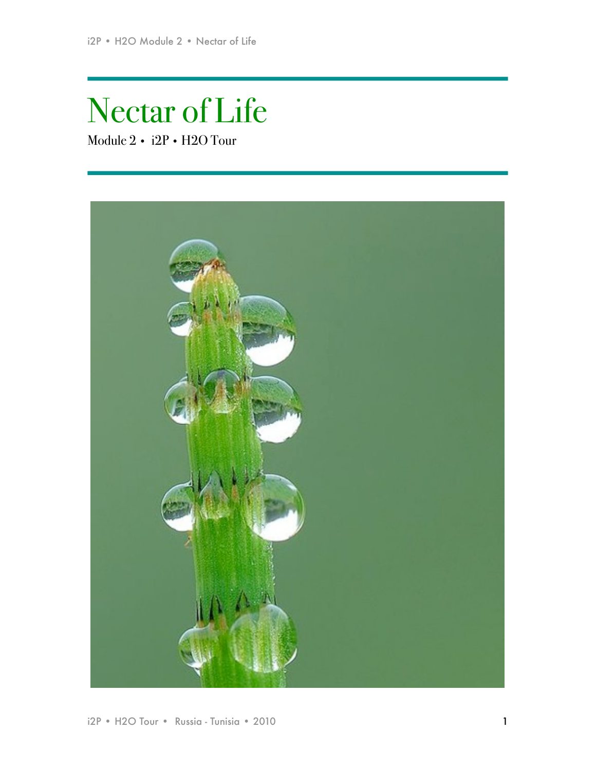# Nectar of Life

Module 2 • i2P • H2O Tour

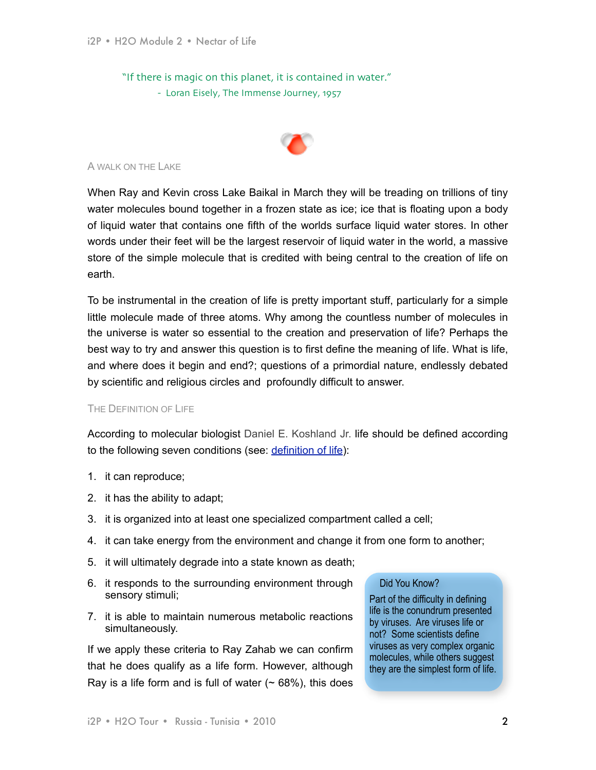"If there is magic on this planet, it is contained in water." - Loran Eisely, The Immense Journey, 1957



#### A WALK ON THE LAKE

When Ray and Kevin cross Lake Baikal in March they will be treading on trillions of tiny water molecules bound together in a frozen state as ice; ice that is floating upon a body of liquid water that contains one fifth of the worlds surface liquid water stores. In other words under their feet will be the largest reservoir of liquid water in the world, a massive store of the simple molecule that is credited with being central to the creation of life on earth.

To be instrumental in the creation of life is pretty important stuff, particularly for a simple little molecule made of three atoms. Why among the countless number of molecules in the universe is water so essential to the creation and preservation of life? Perhaps the best way to try and answer this question is to first define the meaning of life. What is life, and where does it begin and end?; questions of a primordial nature, endlessly debated by scientific and religious circles and profoundly difficult to answer.

## THE DEFINITION OF LIFE

According to molecular biologist Daniel E. Koshland Jr. life should be defined according to the following seven conditions (see: [definition of life](http://www.physicalgeography.net/fundamentals/9a.html)):

- 1. it can reproduce;
- 2. it has the ability to adapt;
- 3. it is organized into at least one specialized compartment called a cell;
- 4. it can take energy from the environment and change it from one form to another;
- 5. it will ultimately degrade into a state known as death;
- 6. it responds to the surrounding environment through sensory stimuli;
- 7. it is able to maintain numerous metabolic reactions simultaneously.

If we apply these criteria to Ray Zahab we can confirm that he does qualify as a life form. However, although Ray is a life form and is full of water  $($   $\sim$  68%), this does

# Did You Know?

Part of the difficulty in defining life is the conundrum presented by viruses. Are viruses life or not? Some scientists define viruses as very complex organic molecules, while others suggest they are the simplest form of life.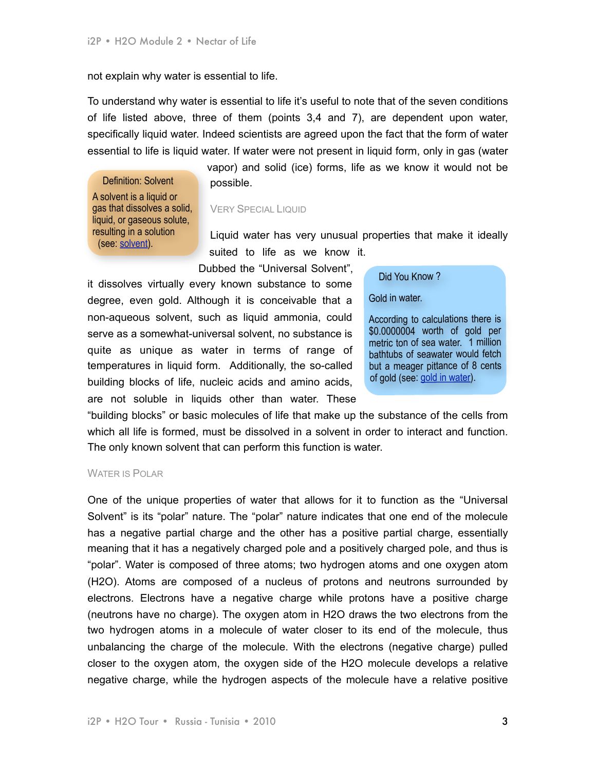not explain why water is essential to life.

To understand why water is essential to life it's useful to note that of the seven conditions of life listed above, three of them (points 3,4 and 7), are dependent upon water, specifically liquid water. Indeed scientists are agreed upon the fact that the form of water essential to life is liquid water. If water were not present in liquid form, only in gas (water

Definition: Solvent A solvent is a liquid or gas that dissolves a solid, liquid, or gaseous solute, resulting in a solution (see: [solvent\)](http://en.wikipedia.org/wiki/Solvent).

vapor) and solid (ice) forms, life as we know it would not be possible.

## VERY SPECIAL LIQUID

Liquid water has very unusual properties that make it ideally suited to life as we know it.

Dubbed the "Universal Solvent",

it dissolves virtually every known substance to some degree, even gold. Although it is conceivable that a non-aqueous solvent, such as liquid ammonia, could serve as a somewhat-universal solvent, no substance is quite as unique as water in terms of range of temperatures in liquid form. Additionally, the so-called building blocks of life, nucleic acids and amino acids, are not soluble in liquids other than water. These Did You Know ?

Gold in water.

According to calculations there is \$0.0000004 worth of gold per metric ton of sea water. 1 million bathtubs of seawater would fetch but a meager [p](http://www.pbs.org/wgbh/nova/origins/essential.html)ittance of 8 cents of gold (see: [gold in water\)](http://www.pbs.org/wgbh/nova/origins/essential.html).

"building blocks" or basic molecules of life that make up the substance of the cells from which all life is formed, must be dissolved in a solvent in order to interact and function. The only known solvent that can perform this function is water.

#### WATER IS POLAR

One of the unique properties of water that allows for it to function as the "Universal Solvent" is its "polar" nature. The "polar" nature indicates that one end of the molecule has a negative partial charge and the other has a positive partial charge, essentially meaning that it has a negatively charged pole and a positively charged pole, and thus is "polar". Water is composed of three atoms; two hydrogen atoms and one oxygen atom (H2O). Atoms are composed of a nucleus of protons and neutrons surrounded by electrons. Electrons have a negative charge while protons have a positive charge (neutrons have no charge). The oxygen atom in H2O draws the two electrons from the two hydrogen atoms in a molecule of water closer to its end of the molecule, thus unbalancing the charge of the molecule. With the electrons (negative charge) pulled closer to the oxygen atom, the oxygen side of the H2O molecule develops a relative negative charge, while the hydrogen aspects of the molecule have a relative positive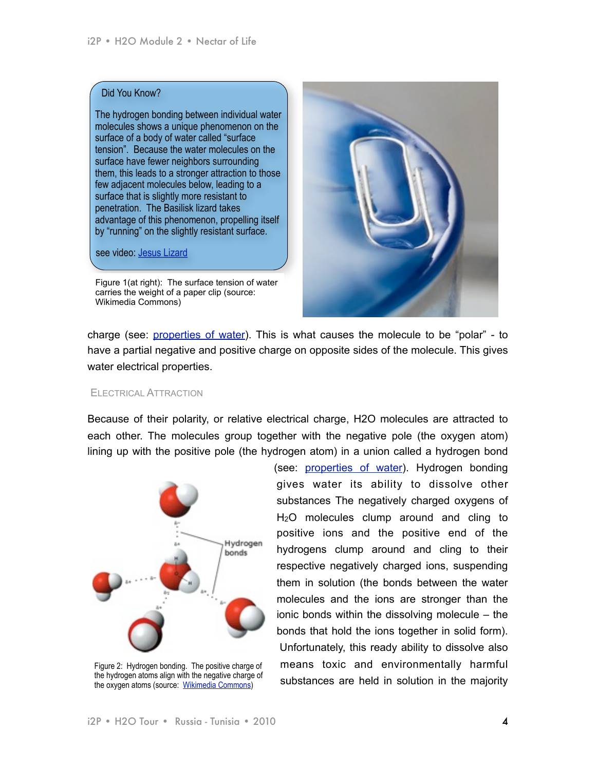#### Did You Know?

The hydrogen bonding between individual water molecules shows a unique phenomenon on the surface of a body of water called "surface tension". Because the water molecules on the surface have fewer neighbors surrounding them, this leads to a stronger attraction to those few adjacent molecules below, leading to a surface that is slightly more resistant to penetration. The Basilisk lizard takes advantage of this phenomenon, propelling itself by "running" on the slightly resistant surface.

see video: [Jesus Lizard](http://web.jjay.cuny.edu/~acarpi/NSC-2/Jesus%2520Lizard.avi)

Figure 1(at right): The surface tension of water carries the weight of a paper clip (source: Wikimedia Commons)



charge (see: [properties of water\)](http://www.visionlearning.com/library/module_viewer.php?mid=57). This is what causes the molecule to be "polar" - to have a partial negative and positive charge on opposite sides of the molecule. This gives water electrical properties.

## ELECTRICAL ATTRACTION

Because of their polarity, or relative electrical charge, H2O molecules are attracted to each other. The molecules group together with the negative pole (the oxygen atom) lining up with the positive pole (the hydrogen atom) in a union called a hydrogen bond



Figure 2: Hydrogen bonding. The positive charge of the hydrogen atoms align with the negative charge of the oxygen atoms (source: [Wikimedia Commons\)](http://en.wikipedia.org/wiki/File:3D_model_hydrogen_bonds_in_water.jpg)

(see: [properties of water\)](http://www.visionlearning.com/library/module_viewer.php?mid=57). Hydrogen bonding gives water its ability to dissolve other substances The negatively charged oxygens of H2O molecules clump around and cling to positive ions and the positive end of the hydrogens clump around and cling to their respective negatively charged ions, suspending them in solution (the bonds between the water molecules and the ions are stronger than the ionic bonds within the dissolving molecule – the bonds that hold the ions together in solid form). Unfortunately, this ready ability to dissolve also means toxic and environmentally harmful substances are held in solution in the majority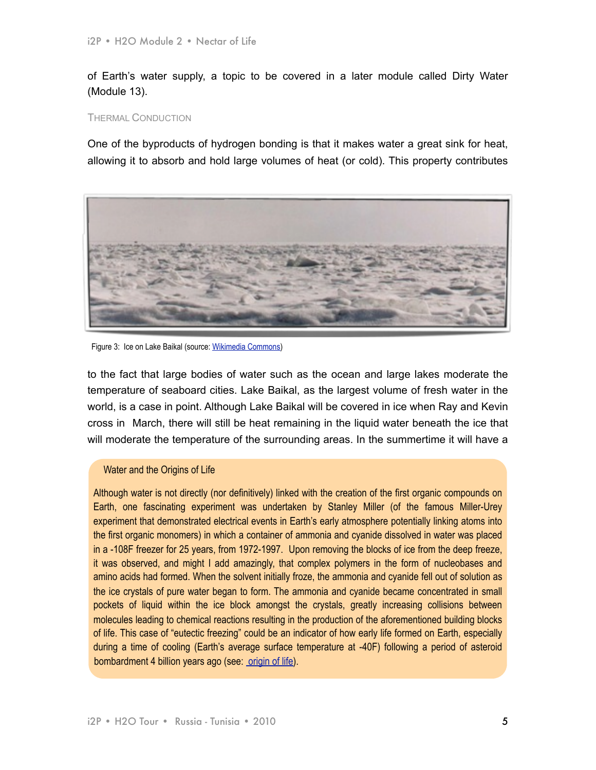of Earth's water supply, a topic to be covered in a later module called Dirty Water (Module 13).

#### THERMAL CONDUCTION

One of the byproducts of hydrogen bonding is that it makes water a great sink for heat, allowing it to absorb and hold large volumes of heat (or cold). This property contributes



Figure 3: Ice on Lake Baikal (source: [Wikimedia Commons\)](http://commons.wikimedia.org/wiki/File:Bajkal_zima1.jpg)

to the fact that large bodies of water such as the ocean and large lakes moderate the temperature of seaboard cities. Lake Baikal, as the largest volume of fresh water in the world, is a case in point. Although Lake Baikal will be covered in ice when Ray and Kevin cross in March, there will still be heat remaining in the liquid water beneath the ice that will moderate the temperature of the surrounding areas. In the summertime it will have a

# Water and the Origins of Life

Although water is not directly (nor definitively) linked with the creation of the first organic compounds on Earth, one fascinating experiment was undertaken by Stanley Miller (of the famous Miller-Urey experiment that demonstrated electrical events in Earth's early atmosphere potentially linking atoms into the first organic monomers) in which a container of ammonia and cyanide dissolved in water was placed in a -108F freezer for 25 years, from 1972-1997. Upon removing the blocks of ice from the deep freeze, it was observed, and might I add amazingly, that complex polymers in the form of nucleobases and amino acids had formed. When the solvent initially froze, the ammonia and cyanide fell out of solution as the ice crystals of pure water began to form. The ammonia and cyanide became concentrated in small pockets of liquid within the ice block amongst the crystals, greatly increasing collisions between molecules leading to chemical reactions resulting in the production of the aforementioned building blocks of life. This case of "eutectic freezing" could be an indicator of how early life formed on Earth, especially during a time of cooling (Earth's average surface temperature at -40F) following a period of asteroid bombardment 4 billion years ago (see: [origin of life\)](http://www.ozh2o.com/h2origin5.html).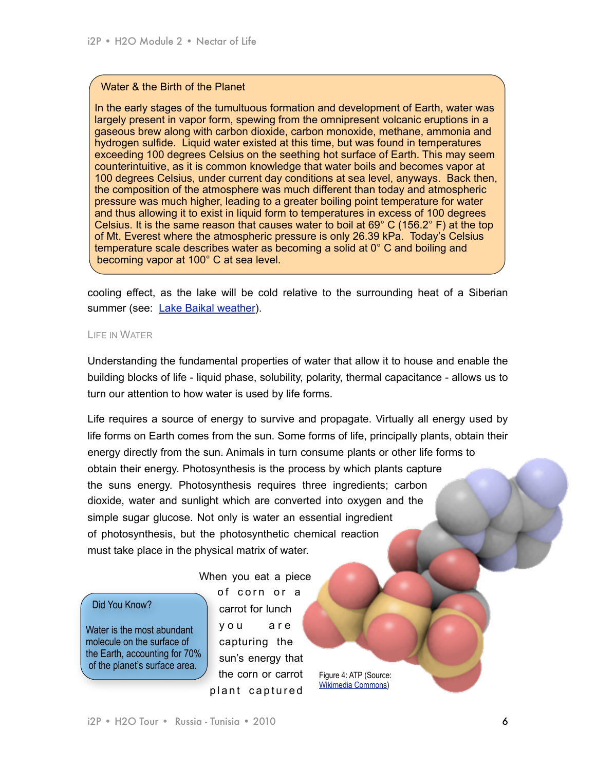# Water & the Birth of the Planet

In the early stages of the tumultuous formation and development of Earth, water was largely present in vapor form, spewing from the omnipresent volcanic eruptions in a gaseous brew along with carbon dioxide, carbon monoxide, methane, ammonia and hydrogen sulfide. Liquid water existed at this time, but was found in temperatures exceeding 100 degrees Celsius on the seething hot surface of Earth. This may seem counterintuitive, as it is common knowledge that water boils and becomes vapor at 100 degrees Celsius, under current day conditions at sea level, anyways. Back then, the composition of the atmosphere was much different than today and atmospheric pressure was much higher, leading to a greater boiling point temperature for water and thus allowing it to exist in liquid form to temperatures in excess of 100 degrees Celsius. It is the same reason that causes water to boil at 69° C (156.2° F) at the top of Mt. Everest where the atmospheric pressure is only 26.39 kPa. Today's Celsius temperature scale describes water as becoming a solid at 0° C and boiling and becoming vapor at 100° C at sea level.

cooling effect, as the lake will be cold relative to the surrounding heat of a Siberian summer (see: [Lake Baikal weather](http://www.bww.irk.ru/baikalclimate/baikalclimate.html)).

#### LIFE IN WATER

Understanding the fundamental properties of water that allow it to house and enable the building blocks of life - liquid phase, solubility, polarity, thermal capacitance - allows us to turn our attention to how water is used by life forms.

Life requires a source of energy to survive and propagate. Virtually all energy used by life forms on Earth comes from the sun. Some forms of life, principally plants, obtain their energy directly from the sun. Animals in turn consume plants or other life forms to obtain their energy. Photosynthesis is the process by which plants capture the suns energy. Photosynthesis requires three ingredients; carbon dioxide, water and sunlight which are converted into oxygen and the simple sugar glucose. Not only is water an essential ingredient of photosynthesis, but the photosynthetic chemical reaction must take place in the physical matrix of water.

## Did You Know?

Water is the most abundant molecule on the surface of the Earth, accounting for 70% of the planet's surface area.

When you eat a piece of corn or a carrot for lunch you are capturing the sun's energy that the corn or carrot plant captured

Figure 4: ATP (Source: [Wikimedia Commons\)](http://commons.wikimedia.org/wiki/File:Atp_exp.qutemol-ball.png)